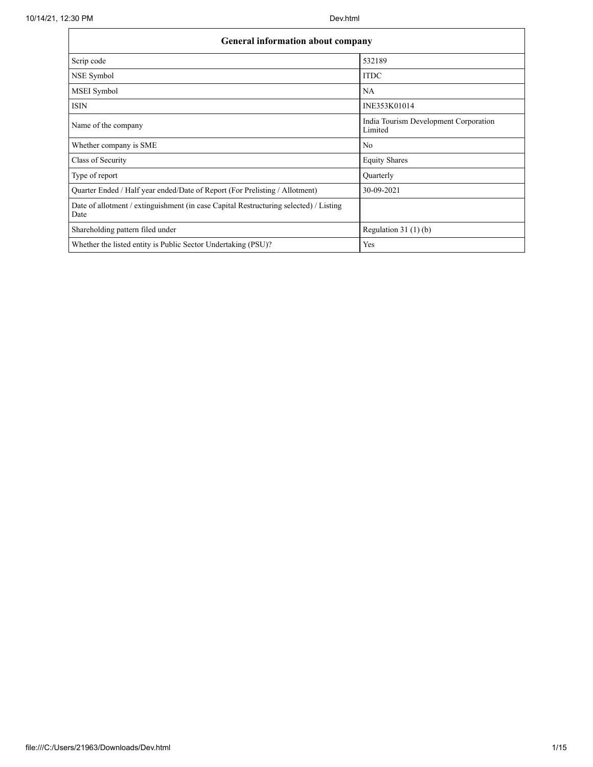| <b>General information about company</b>                                                      |                                                  |
|-----------------------------------------------------------------------------------------------|--------------------------------------------------|
| Scrip code                                                                                    | 532189                                           |
| NSE Symbol                                                                                    | <b>ITDC</b>                                      |
| MSEI Symbol                                                                                   | <b>NA</b>                                        |
| <b>ISIN</b>                                                                                   | INE353K01014                                     |
| Name of the company                                                                           | India Tourism Development Corporation<br>Limited |
| Whether company is SME                                                                        | N <sub>0</sub>                                   |
| Class of Security                                                                             | <b>Equity Shares</b>                             |
| Type of report                                                                                | Quarterly                                        |
| Quarter Ended / Half year ended/Date of Report (For Prelisting / Allotment)                   | 30-09-2021                                       |
| Date of allotment / extinguishment (in case Capital Restructuring selected) / Listing<br>Date |                                                  |
| Shareholding pattern filed under                                                              | Regulation 31 $(1)(b)$                           |
| Whether the listed entity is Public Sector Undertaking (PSU)?                                 | Yes                                              |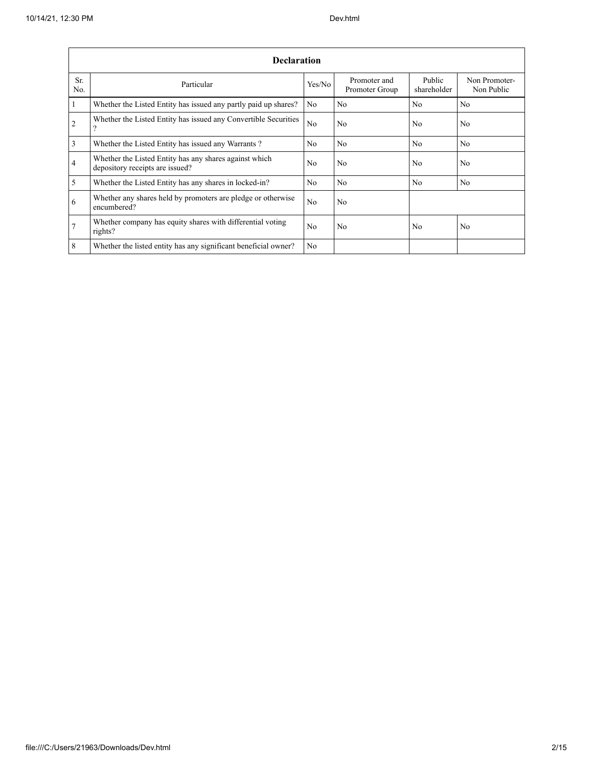|                       | <b>Declaration</b>                                                                        |                |                                |                       |                             |
|-----------------------|-------------------------------------------------------------------------------------------|----------------|--------------------------------|-----------------------|-----------------------------|
| Sr.<br>N <sub>0</sub> | Particular                                                                                | Yes/No         | Promoter and<br>Promoter Group | Public<br>shareholder | Non Promoter-<br>Non Public |
| $\mathbf{1}$          | Whether the Listed Entity has issued any partly paid up shares?                           | N <sub>0</sub> | No                             | N <sub>0</sub>        | No                          |
| 2                     | Whether the Listed Entity has issued any Convertible Securities<br>?                      | N <sub>0</sub> | No.                            | N <sub>0</sub>        | N <sub>0</sub>              |
| $\overline{3}$        | Whether the Listed Entity has issued any Warrants?                                        | N <sub>0</sub> | No.                            | N <sub>0</sub>        | N <sub>0</sub>              |
| $\overline{4}$        | Whether the Listed Entity has any shares against which<br>depository receipts are issued? | N <sub>0</sub> | No.                            | N <sub>0</sub>        | N <sub>0</sub>              |
| 5                     | Whether the Listed Entity has any shares in locked-in?                                    | N <sub>0</sub> | No.                            | N <sub>0</sub>        | N <sub>0</sub>              |
| 6                     | Whether any shares held by promoters are pledge or otherwise<br>encumbered?               | N <sub>0</sub> | No                             |                       |                             |
| $7\phantom{.0}$       | Whether company has equity shares with differential voting<br>rights?                     | N <sub>0</sub> | No.                            | N <sub>0</sub>        | N <sub>0</sub>              |
| 8                     | Whether the listed entity has any significant beneficial owner?                           | N <sub>0</sub> |                                |                       |                             |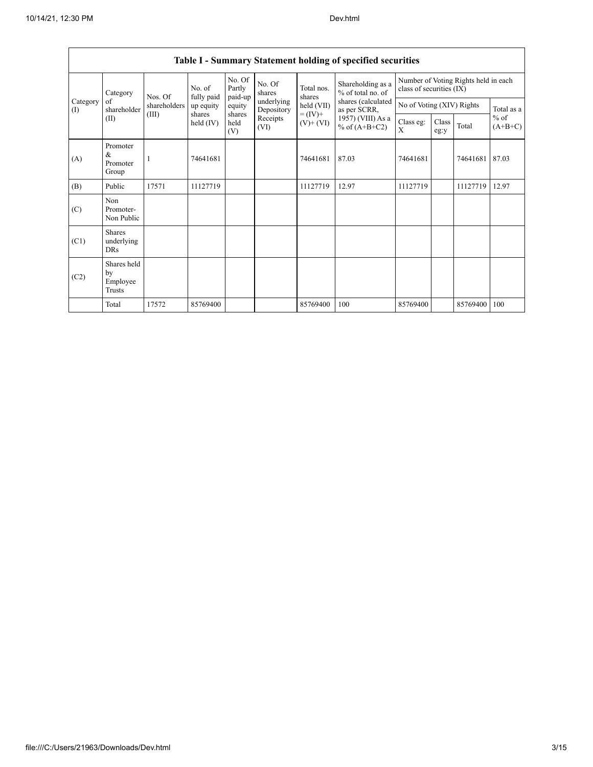|                 |                                           |              |                      |                             |                          |                              | Table 1 - Summary Statement holding of specified securities |                           |               |                                      |                     |
|-----------------|-------------------------------------------|--------------|----------------------|-----------------------------|--------------------------|------------------------------|-------------------------------------------------------------|---------------------------|---------------|--------------------------------------|---------------------|
|                 | Category                                  | Nos. Of      | No. of<br>fully paid | No. Of<br>Partly<br>paid-up | No. Of<br>shares         | Total nos.<br>shares         | Shareholding as a<br>% of total no. of                      | class of securities (IX)  |               | Number of Voting Rights held in each |                     |
| Category<br>(I) | of<br>shareholder                         | shareholders | up equity            | equity                      | underlying<br>Depository | held (VII)                   | shares (calculated<br>as per SCRR,                          | No of Voting (XIV) Rights |               |                                      | Total as a          |
|                 | (II)                                      | (III)        | shares<br>held (IV)  | shares<br>held<br>(V)       | Receipts<br>(VI)         | $= (IV) +$<br>$(V)$ + $(VI)$ | 1957) (VIII) As a<br>% of $(A+B+C2)$                        | Class eg:<br>X            | Class<br>eg:y | Total                                | $%$ of<br>$(A+B+C)$ |
| (A)             | Promoter<br>&<br>Promoter<br>Group        |              | 74641681             |                             |                          | 74641681                     | 87.03                                                       | 74641681                  |               | 74641681                             | 87.03               |
| (B)             | Public                                    | 17571        | 11127719             |                             |                          | 11127719                     | 12.97                                                       | 11127719                  |               | 11127719                             | 12.97               |
| (C)             | Non<br>Promoter-<br>Non Public            |              |                      |                             |                          |                              |                                                             |                           |               |                                      |                     |
| (C1)            | <b>Shares</b><br>underlying<br><b>DRs</b> |              |                      |                             |                          |                              |                                                             |                           |               |                                      |                     |
| (C2)            | Shares held<br>by<br>Employee<br>Trusts   |              |                      |                             |                          |                              |                                                             |                           |               |                                      |                     |
|                 | Total                                     | 17572        | 85769400             |                             |                          | 85769400                     | 100                                                         | 85769400                  |               | 85769400                             | 100                 |

# Table I - Summary Statement holding of specified securities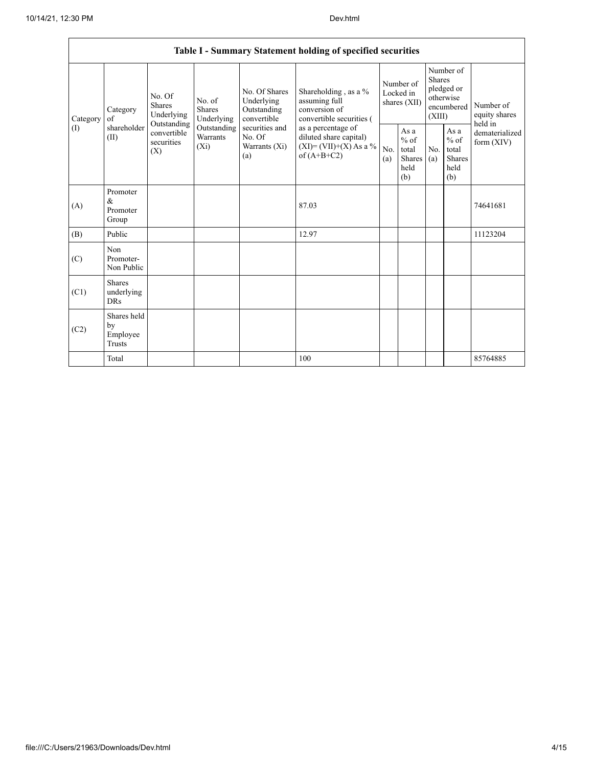|          |                                                |                                                      |                                       |                                                           | Table I - Summary Statement holding of specified securities                                |            |                                                         |                         |                                                         |                                       |
|----------|------------------------------------------------|------------------------------------------------------|---------------------------------------|-----------------------------------------------------------|--------------------------------------------------------------------------------------------|------------|---------------------------------------------------------|-------------------------|---------------------------------------------------------|---------------------------------------|
| Category | Category<br>of                                 | No. Of<br><b>Shares</b><br>Underlying<br>Outstanding | No. of<br><b>Shares</b><br>Underlying | No. Of Shares<br>Underlying<br>Outstanding<br>convertible | Shareholding, as a %<br>assuming full<br>conversion of<br>convertible securities (         |            | Number of<br>Locked in<br>shares $(XII)$                | <b>Shares</b><br>(XIII) | Number of<br>pledged or<br>otherwise<br>encumbered      | Number of<br>equity shares<br>held in |
| (I)      | shareholder<br>(II)                            | convertible<br>securities<br>(X)                     | Outstanding<br>Warrants<br>$(X_i)$    | securities and<br>No. Of<br>Warrants (Xi)<br>(a)          | as a percentage of<br>diluted share capital)<br>$(XI) = (VII)+(X) As a %$<br>of $(A+B+C2)$ | No.<br>(a) | As a<br>$%$ of<br>total<br><b>Shares</b><br>held<br>(b) | No.<br>(a)              | As a<br>$%$ of<br>total<br><b>Shares</b><br>held<br>(b) | dematerialized<br>form $(XIV)$        |
| (A)      | Promoter<br>$\&$<br>Promoter<br>Group          |                                                      |                                       |                                                           | 87.03                                                                                      |            |                                                         |                         |                                                         | 74641681                              |
| (B)      | Public                                         |                                                      |                                       |                                                           | 12.97                                                                                      |            |                                                         |                         |                                                         | 11123204                              |
| (C)      | Non<br>Promoter-<br>Non Public                 |                                                      |                                       |                                                           |                                                                                            |            |                                                         |                         |                                                         |                                       |
| (C1)     | <b>Shares</b><br>underlying<br><b>DRs</b>      |                                                      |                                       |                                                           |                                                                                            |            |                                                         |                         |                                                         |                                       |
| (C2)     | Shares held<br>by<br>Employee<br><b>Trusts</b> |                                                      |                                       |                                                           |                                                                                            |            |                                                         |                         |                                                         |                                       |
|          | Total                                          |                                                      |                                       |                                                           | 100                                                                                        |            |                                                         |                         |                                                         | 85764885                              |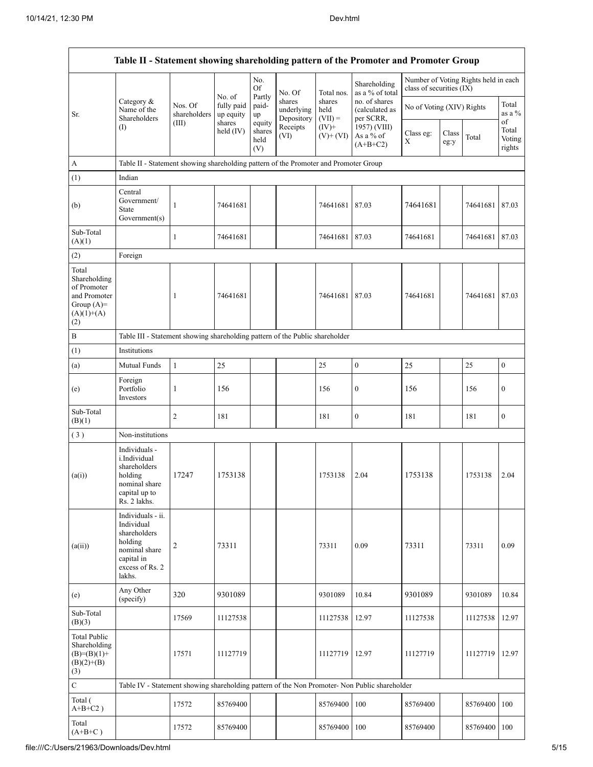|                                                                                             | Table II - Statement showing shareholding pattern of the Promoter and Promoter Group                                   |                                  |                                             |                                 |                                    |                             |                                              |                          |                           |                                      |                           |
|---------------------------------------------------------------------------------------------|------------------------------------------------------------------------------------------------------------------------|----------------------------------|---------------------------------------------|---------------------------------|------------------------------------|-----------------------------|----------------------------------------------|--------------------------|---------------------------|--------------------------------------|---------------------------|
|                                                                                             |                                                                                                                        |                                  |                                             | No.<br><b>Of</b>                | No. Of                             | Total nos.                  | Shareholding<br>as a % of total              | class of securities (IX) |                           | Number of Voting Rights held in each |                           |
| Sr.                                                                                         | Category &<br>Name of the<br>Shareholders                                                                              | Nos. Of<br>shareholders<br>(III) | No. of<br>fully paid<br>up equity<br>shares | Partly<br>paid-<br>up<br>equity | shares<br>underlying<br>Depository | shares<br>held<br>$(VII) =$ | no. of shares<br>(calculated as<br>per SCRR, |                          | No of Voting (XIV) Rights |                                      | Total<br>as a $%$<br>of   |
|                                                                                             | (I)                                                                                                                    |                                  | held $(IV)$                                 | shares<br>held<br>(V)           | Receipts<br>(VI)                   | $(IV)+$<br>$(V)+(VI)$       | 1957) (VIII)<br>As a % of<br>$(A+B+C2)$      | Class eg:<br>X           | Class<br>eg:y             | Total                                | Total<br>Voting<br>rights |
| A                                                                                           | Table II - Statement showing shareholding pattern of the Promoter and Promoter Group                                   |                                  |                                             |                                 |                                    |                             |                                              |                          |                           |                                      |                           |
| (1)                                                                                         | Indian                                                                                                                 |                                  |                                             |                                 |                                    |                             |                                              |                          |                           |                                      |                           |
| (b)                                                                                         | Central<br>Government/<br><b>State</b><br>Government(s)                                                                | $\mathbf{1}$                     | 74641681                                    |                                 |                                    | 74641681                    | 87.03                                        | 74641681                 |                           | 74641681                             | 87.03                     |
| Sub-Total<br>(A)(1)                                                                         |                                                                                                                        | $\mathbf{1}$                     | 74641681                                    |                                 |                                    | 74641681                    | 87.03                                        | 74641681                 |                           | 74641681                             | 87.03                     |
| (2)                                                                                         | Foreign                                                                                                                |                                  |                                             |                                 |                                    |                             |                                              |                          |                           |                                      |                           |
| Total<br>Shareholding<br>of Promoter<br>and Promoter<br>Group $(A)=$<br>$(A)(1)+(A)$<br>(2) |                                                                                                                        | 1                                | 74641681                                    |                                 |                                    | 74641681                    | 87.03                                        | 74641681                 |                           | 74641681                             | 87.03                     |
| $\, {\bf B}$                                                                                | Table III - Statement showing shareholding pattern of the Public shareholder                                           |                                  |                                             |                                 |                                    |                             |                                              |                          |                           |                                      |                           |
| (1)                                                                                         | Institutions                                                                                                           |                                  |                                             |                                 |                                    |                             |                                              |                          |                           |                                      |                           |
| (a)                                                                                         | Mutual Funds                                                                                                           | $\mathbf{1}$                     | 25                                          |                                 |                                    | 25                          | $\boldsymbol{0}$                             | 25                       |                           | 25                                   | $\boldsymbol{0}$          |
| (e)                                                                                         | Foreign<br>Portfolio<br>Investors                                                                                      | 1                                | 156                                         |                                 |                                    | 156                         | $\boldsymbol{0}$                             | 156                      |                           | 156                                  | $\boldsymbol{0}$          |
| Sub-Total<br>(B)(1)                                                                         |                                                                                                                        | $\overline{2}$                   | 181                                         |                                 |                                    | 181                         | $\boldsymbol{0}$                             | 181                      |                           | 181                                  | $\boldsymbol{0}$          |
| (3)                                                                                         | Non-institutions                                                                                                       |                                  |                                             |                                 |                                    |                             |                                              |                          |                           |                                      |                           |
| (a(i))                                                                                      | Individuals -<br>i.Individual<br>shareholders<br>holding<br>nominal share<br>capital up to<br>Rs. 2 lakhs.             | 17247                            | 1753138                                     |                                 |                                    | 1753138                     | 2.04                                         | 1753138                  |                           | 1753138                              | 2.04                      |
| (a(ii))                                                                                     | Individuals - ii.<br>Individual<br>shareholders<br>holding<br>nominal share<br>capital in<br>excess of Rs. 2<br>lakhs. | $\overline{c}$                   | 73311                                       |                                 |                                    | 73311                       | 0.09                                         | 73311                    |                           | 73311                                | 0.09                      |
| (e)                                                                                         | Any Other<br>(specify)                                                                                                 | 320                              | 9301089                                     |                                 |                                    | 9301089                     | 10.84                                        | 9301089                  |                           | 9301089                              | 10.84                     |
| Sub-Total<br>(B)(3)                                                                         |                                                                                                                        | 17569                            | 11127538                                    |                                 |                                    | 11127538                    | 12.97                                        | 11127538                 |                           | 11127538                             | 12.97                     |
| <b>Total Public</b><br>Shareholding<br>$(B)=(B)(1)+$<br>$(B)(2)+(B)$<br>(3)                 |                                                                                                                        | 17571                            | 11127719                                    |                                 |                                    | 11127719                    | 12.97                                        | 11127719                 |                           | 11127719                             | 12.97                     |
| $\mathbf C$                                                                                 | Table IV - Statement showing shareholding pattern of the Non Promoter- Non Public shareholder                          |                                  |                                             |                                 |                                    |                             |                                              |                          |                           |                                      |                           |
| Total (<br>$A+B+C2$ )                                                                       |                                                                                                                        | 17572                            | 85769400                                    |                                 |                                    | 85769400                    | 100                                          | 85769400                 |                           | 85769400                             | 100                       |
| Total<br>$(A+B+C)$                                                                          |                                                                                                                        | 17572                            | 85769400                                    |                                 |                                    | 85769400 100                |                                              | 85769400                 |                           | 85769400                             | 100                       |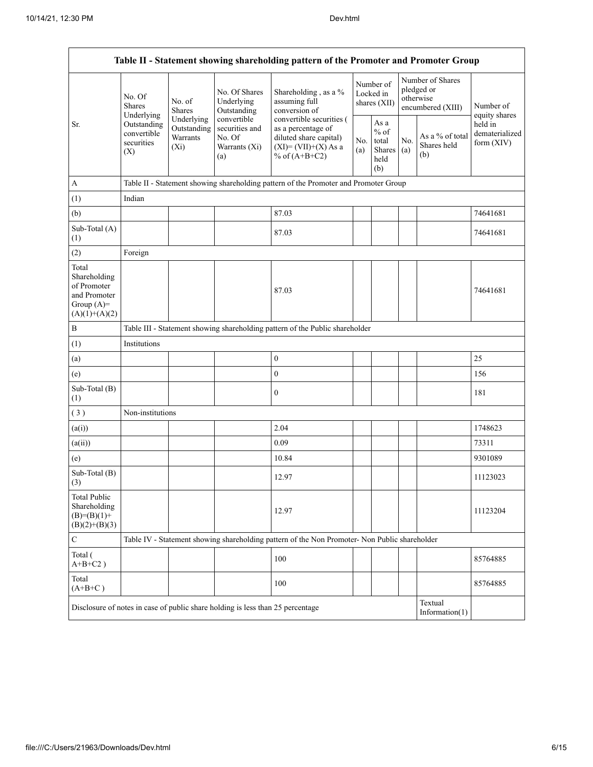| Table II - Statement showing shareholding pattern of the Promoter and Promoter Group    |                                                 |                                                  |                                                                                |                                                                                                                        |                                          |                                                   |            |                                                                  |                                           |  |
|-----------------------------------------------------------------------------------------|-------------------------------------------------|--------------------------------------------------|--------------------------------------------------------------------------------|------------------------------------------------------------------------------------------------------------------------|------------------------------------------|---------------------------------------------------|------------|------------------------------------------------------------------|-------------------------------------------|--|
|                                                                                         | No. Of<br><b>Shares</b><br>Underlying           | No. of<br><b>Shares</b>                          | No. Of Shares<br>Underlying<br>Outstanding                                     | Shareholding, as a %<br>assuming full<br>conversion of                                                                 | Number of<br>Locked in<br>shares $(XII)$ |                                                   |            | Number of Shares<br>pledged or<br>otherwise<br>encumbered (XIII) | Number of<br>equity shares                |  |
| Sr.                                                                                     | Outstanding<br>convertible<br>securities<br>(X) | Underlying<br>Outstanding<br>Warrants<br>$(X_i)$ | convertible<br>securities and<br>No. Of<br>Warrants (Xi)<br>(a)                | convertible securities (<br>as a percentage of<br>diluted share capital)<br>$(XI) = (VII)+(X) As a$<br>% of $(A+B+C2)$ | No.<br>(a)                               | As a<br>$\%$ of<br>total<br>Shares<br>held<br>(b) | No.<br>(a) | As a % of total<br>Shares held<br>(b)                            | held in<br>dematerialized<br>form $(XIV)$ |  |
| A                                                                                       |                                                 |                                                  |                                                                                | Table II - Statement showing shareholding pattern of the Promoter and Promoter Group                                   |                                          |                                                   |            |                                                                  |                                           |  |
| (1)                                                                                     | Indian                                          |                                                  |                                                                                |                                                                                                                        |                                          |                                                   |            |                                                                  |                                           |  |
| (b)                                                                                     |                                                 |                                                  |                                                                                | 87.03                                                                                                                  |                                          |                                                   |            |                                                                  | 74641681                                  |  |
| Sub-Total (A)<br>(1)                                                                    |                                                 |                                                  |                                                                                | 87.03                                                                                                                  |                                          |                                                   |            |                                                                  | 74641681                                  |  |
| (2)                                                                                     | Foreign                                         |                                                  |                                                                                |                                                                                                                        |                                          |                                                   |            |                                                                  |                                           |  |
| Total<br>Shareholding<br>of Promoter<br>and Promoter<br>Group $(A)=$<br>$(A)(1)+(A)(2)$ |                                                 |                                                  |                                                                                | 87.03                                                                                                                  |                                          |                                                   |            |                                                                  | 74641681                                  |  |
| $\, {\bf B}$                                                                            |                                                 |                                                  |                                                                                | Table III - Statement showing shareholding pattern of the Public shareholder                                           |                                          |                                                   |            |                                                                  |                                           |  |
| (1)                                                                                     | Institutions                                    |                                                  |                                                                                |                                                                                                                        |                                          |                                                   |            |                                                                  |                                           |  |
| (a)                                                                                     |                                                 |                                                  |                                                                                | $\boldsymbol{0}$                                                                                                       |                                          |                                                   |            |                                                                  | 25                                        |  |
| (e)                                                                                     |                                                 |                                                  |                                                                                | $\boldsymbol{0}$                                                                                                       |                                          |                                                   |            |                                                                  | 156                                       |  |
| Sub-Total (B)<br>(1)                                                                    |                                                 |                                                  |                                                                                | $\boldsymbol{0}$                                                                                                       |                                          |                                                   |            |                                                                  | 181                                       |  |
| (3)                                                                                     | Non-institutions                                |                                                  |                                                                                |                                                                                                                        |                                          |                                                   |            |                                                                  |                                           |  |
| (a(i))                                                                                  |                                                 |                                                  |                                                                                | 2.04                                                                                                                   |                                          |                                                   |            |                                                                  | 1748623                                   |  |
| (a(ii))                                                                                 |                                                 |                                                  |                                                                                | 0.09                                                                                                                   |                                          |                                                   |            |                                                                  | 73311                                     |  |
| (e)                                                                                     |                                                 |                                                  |                                                                                | 10.84                                                                                                                  |                                          |                                                   |            |                                                                  | 9301089                                   |  |
| Sub-Total (B)<br>(3)                                                                    |                                                 |                                                  |                                                                                | 12.97                                                                                                                  |                                          |                                                   |            |                                                                  | 11123023                                  |  |
| <b>Total Public</b><br>Shareholding<br>$(B)=(B)(1)+$<br>$(B)(2)+(B)(3)$                 |                                                 |                                                  |                                                                                | 12.97                                                                                                                  |                                          |                                                   |            |                                                                  | 11123204                                  |  |
| $\mathsf{C}$                                                                            |                                                 |                                                  |                                                                                | Table IV - Statement showing shareholding pattern of the Non Promoter- Non Public shareholder                          |                                          |                                                   |            |                                                                  |                                           |  |
| Total (<br>$A+B+C2$ )                                                                   |                                                 |                                                  |                                                                                | 100                                                                                                                    |                                          |                                                   |            |                                                                  | 85764885                                  |  |
| Total<br>$(A+B+C)$                                                                      |                                                 |                                                  |                                                                                | 100                                                                                                                    |                                          |                                                   |            |                                                                  | 85764885                                  |  |
|                                                                                         |                                                 |                                                  | Disclosure of notes in case of public share holding is less than 25 percentage |                                                                                                                        |                                          |                                                   |            | Textual<br>Information $(1)$                                     |                                           |  |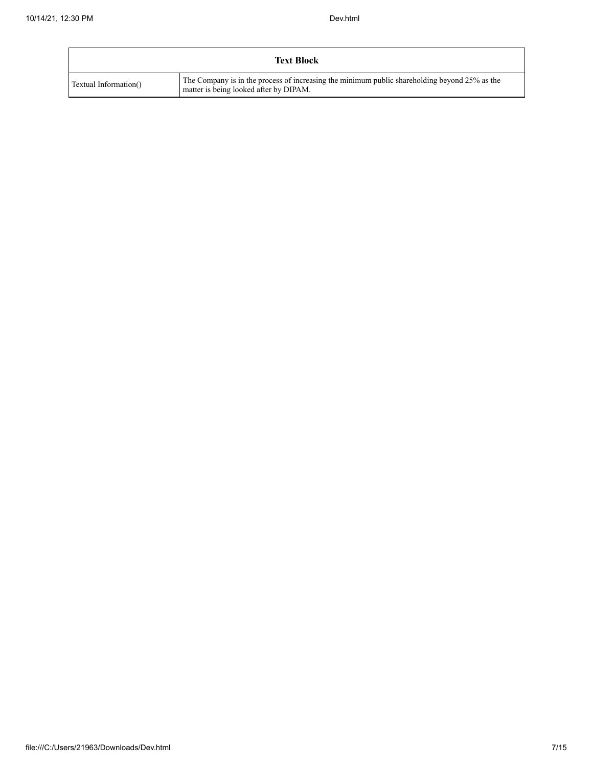|                       | <b>Text Block</b>                                                                                                                       |
|-----------------------|-----------------------------------------------------------------------------------------------------------------------------------------|
| Textual Information() | The Company is in the process of increasing the minimum public shareholding beyond 25% as the<br>matter is being looked after by DIPAM. |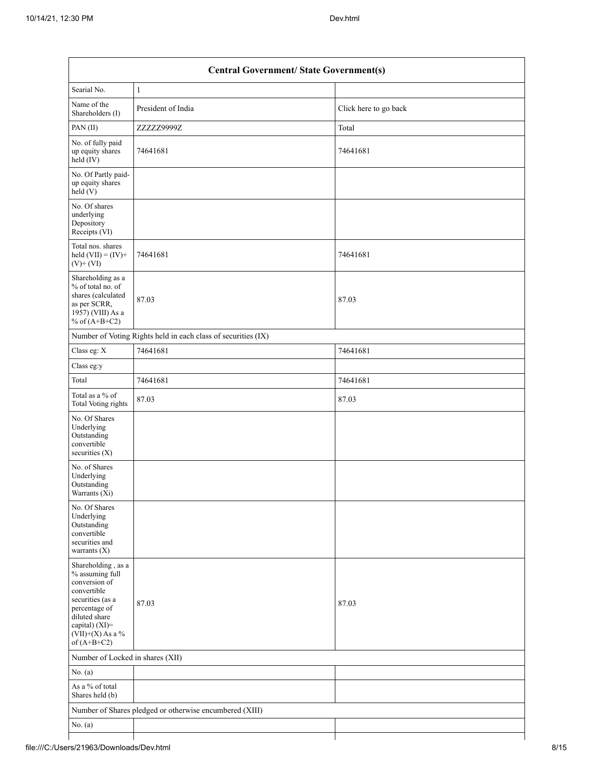|                                                                                                                                                                                      | <b>Central Government/ State Government(s)</b>                |                       |
|--------------------------------------------------------------------------------------------------------------------------------------------------------------------------------------|---------------------------------------------------------------|-----------------------|
| Searial No.                                                                                                                                                                          | $\mathbf{1}$                                                  |                       |
| Name of the<br>Shareholders (I)                                                                                                                                                      | President of India                                            | Click here to go back |
| PAN(II)                                                                                                                                                                              | ZZZZZ9999Z                                                    | Total                 |
| No. of fully paid<br>up equity shares<br>held (IV)                                                                                                                                   | 74641681                                                      | 74641681              |
| No. Of Partly paid-<br>up equity shares<br>held(V)                                                                                                                                   |                                                               |                       |
| No. Of shares<br>underlying<br>Depository<br>Receipts (VI)                                                                                                                           |                                                               |                       |
| Total nos. shares<br>held $(VII) = (IV) +$<br>$(V)$ + $(VI)$                                                                                                                         | 74641681                                                      | 74641681              |
| Shareholding as a<br>% of total no. of<br>shares (calculated<br>as per SCRR,<br>1957) (VIII) As a<br>% of $(A+B+C2)$                                                                 | 87.03                                                         | 87.03                 |
|                                                                                                                                                                                      | Number of Voting Rights held in each class of securities (IX) |                       |
| Class eg: $\mathbf X$                                                                                                                                                                | 74641681                                                      | 74641681              |
| Class eg:y                                                                                                                                                                           |                                                               |                       |
| Total                                                                                                                                                                                | 74641681                                                      | 74641681              |
| Total as a % of<br>Total Voting rights                                                                                                                                               | 87.03                                                         | 87.03                 |
| No. Of Shares<br>Underlying<br>Outstanding<br>convertible<br>securities $(X)$                                                                                                        |                                                               |                       |
| No. of Shares<br>Underlying<br>Outstanding<br>Warrants (Xi)                                                                                                                          |                                                               |                       |
| No. Of Shares<br>Underlying<br>Outstanding<br>convertible<br>securities and<br>warrants $(X)$                                                                                        |                                                               |                       |
| Shareholding, as a<br>% assuming full<br>conversion of<br>convertible<br>securities (as a<br>percentage of<br>diluted share<br>capital) (XI)=<br>$(VII)+(X)$ As a %<br>of $(A+B+C2)$ | 87.03                                                         | 87.03                 |
| Number of Locked in shares (XII)                                                                                                                                                     |                                                               |                       |
| No. $(a)$                                                                                                                                                                            |                                                               |                       |
| As a % of total<br>Shares held (b)                                                                                                                                                   |                                                               |                       |
|                                                                                                                                                                                      | Number of Shares pledged or otherwise encumbered (XIII)       |                       |
| No. $(a)$                                                                                                                                                                            |                                                               |                       |
|                                                                                                                                                                                      |                                                               |                       |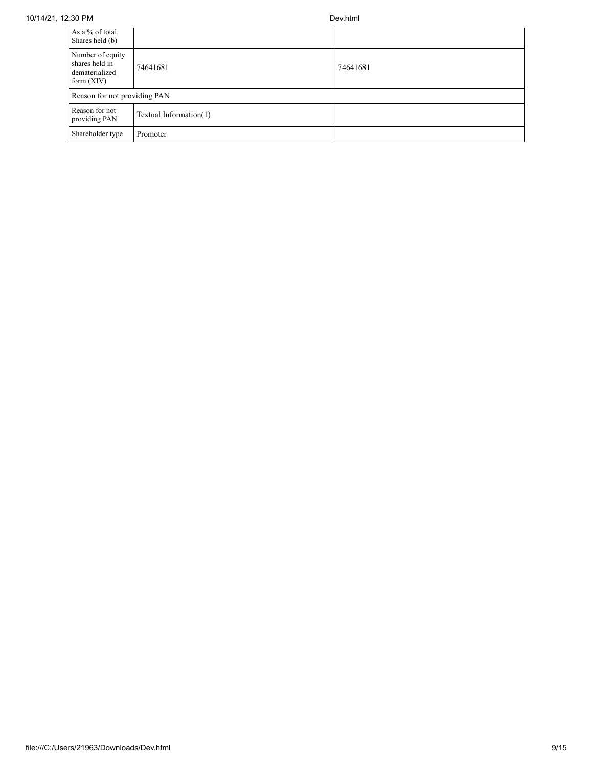| 10/14/21. 12:30 PM | Dev.html |
|--------------------|----------|
|                    |          |

| As a % of total<br>Shares held (b)                                   |                        |          |
|----------------------------------------------------------------------|------------------------|----------|
| Number of equity<br>shares held in<br>dematerialized<br>form $(XIV)$ | 74641681               | 74641681 |
| Reason for not providing PAN                                         |                        |          |
| Reason for not<br>providing PAN                                      | Textual Information(1) |          |
| Shareholder type                                                     | Promoter               |          |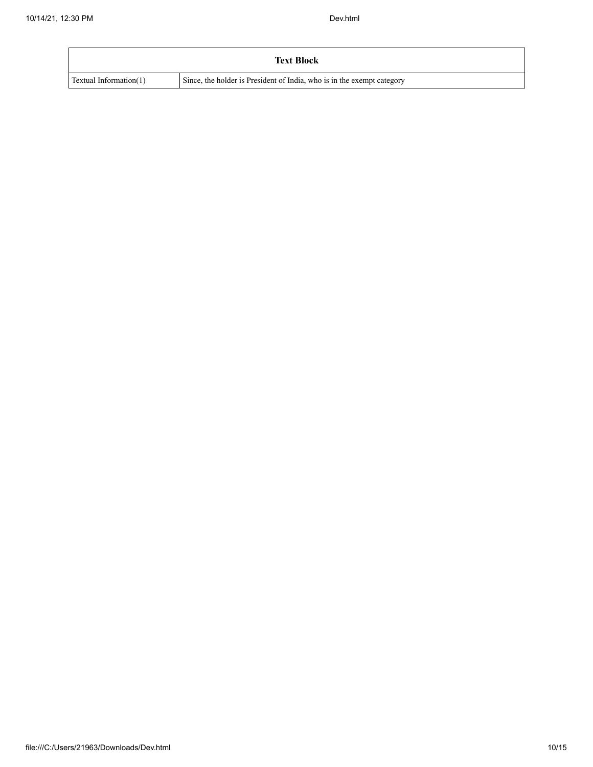|                        | <b>Text Block</b>                                                      |
|------------------------|------------------------------------------------------------------------|
| Textual Information(1) | Since, the holder is President of India, who is in the exempt category |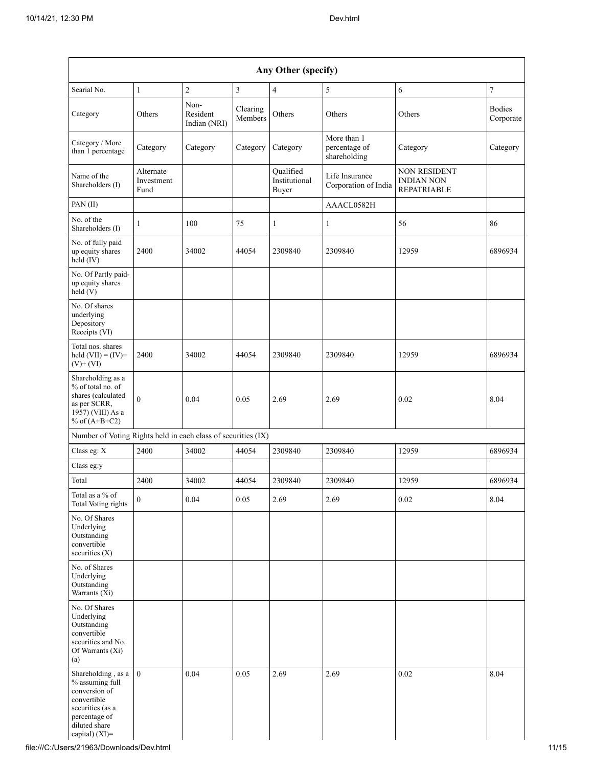| Searial No.                                                                                                                                               | $\mathbf{1}$                    | $\overline{c}$                   | 3                   | $\overline{4}$                      | 5                                            | 6                                                       | $\boldsymbol{7}$           |
|-----------------------------------------------------------------------------------------------------------------------------------------------------------|---------------------------------|----------------------------------|---------------------|-------------------------------------|----------------------------------------------|---------------------------------------------------------|----------------------------|
| Category                                                                                                                                                  | Others                          | Non-<br>Resident<br>Indian (NRI) | Clearing<br>Members | Others                              | Others                                       | Others                                                  | <b>Bodies</b><br>Corporate |
| Category / More<br>than 1 percentage                                                                                                                      | Category                        | Category                         | Category            | Category                            | More than 1<br>percentage of<br>shareholding | Category                                                | Category                   |
| Name of the<br>Shareholders (I)                                                                                                                           | Alternate<br>Investment<br>Fund |                                  |                     | Qualified<br>Institutional<br>Buyer | Life Insurance<br>Corporation of India       | NON RESIDENT<br><b>INDIAN NON</b><br><b>REPATRIABLE</b> |                            |
| PAN(II)                                                                                                                                                   |                                 |                                  |                     |                                     | AAACL0582H                                   |                                                         |                            |
| No. of the<br>Shareholders (I)                                                                                                                            | $\mathbf{1}$                    | 100                              | 75                  | 1                                   | $\mathbf{1}$                                 | 56                                                      | 86                         |
| No. of fully paid<br>up equity shares<br>$held$ (IV)                                                                                                      | 2400                            | 34002                            | 44054               | 2309840                             | 2309840                                      | 12959                                                   | 6896934                    |
| No. Of Partly paid-<br>up equity shares<br>held(V)                                                                                                        |                                 |                                  |                     |                                     |                                              |                                                         |                            |
| No. Of shares<br>underlying<br>Depository<br>Receipts (VI)                                                                                                |                                 |                                  |                     |                                     |                                              |                                                         |                            |
| Total nos. shares<br>held $(VII) = (IV) +$<br>$(V)$ + $(VI)$                                                                                              | 2400                            | 34002                            | 44054               | 2309840                             | 2309840                                      | 12959                                                   | 6896934                    |
| Shareholding as a<br>% of total no. of<br>shares (calculated<br>as per SCRR,<br>1957) (VIII) As a<br>% of $(A+B+C2)$                                      | $\Omega$                        | 0.04                             | 0.05                | 2.69                                | 2.69                                         | 0.02                                                    | 8.04                       |
| Number of Voting Rights held in each class of securities (IX)                                                                                             |                                 |                                  |                     |                                     |                                              |                                                         |                            |
| Class eg: X                                                                                                                                               | 2400                            | 34002                            | 44054               | 2309840                             | 2309840                                      | 12959                                                   | 6896934                    |
| Class eg:y                                                                                                                                                |                                 |                                  |                     |                                     |                                              |                                                         |                            |
| Total                                                                                                                                                     | 2400                            | 34002                            | 44054               | 2309840                             | 2309840                                      | 12959                                                   | 6896934                    |
| Total as a % of<br><b>Total Voting rights</b>                                                                                                             | $\boldsymbol{0}$                | $0.04\,$                         | 0.05                | 2.69                                | 2.69                                         | 0.02                                                    | 8.04                       |
| No. Of Shares<br>Underlying<br>Outstanding<br>convertible<br>securities $(X)$                                                                             |                                 |                                  |                     |                                     |                                              |                                                         |                            |
| No. of Shares<br>Underlying<br>Outstanding<br>Warrants $(X_i)$                                                                                            |                                 |                                  |                     |                                     |                                              |                                                         |                            |
| No. Of Shares<br>Underlying<br>Outstanding<br>convertible<br>securities and No.<br>Of Warrants (Xi)<br>(a)                                                |                                 |                                  |                     |                                     |                                              |                                                         |                            |
| Shareholding, as $a \mid 0$<br>% assuming full<br>conversion of<br>convertible<br>securities (as a<br>percentage of<br>diluted share<br>capital) $(XI)$ = |                                 | 0.04                             | 0.05                | 2.69                                | 2.69                                         | 0.02                                                    | 8.04                       |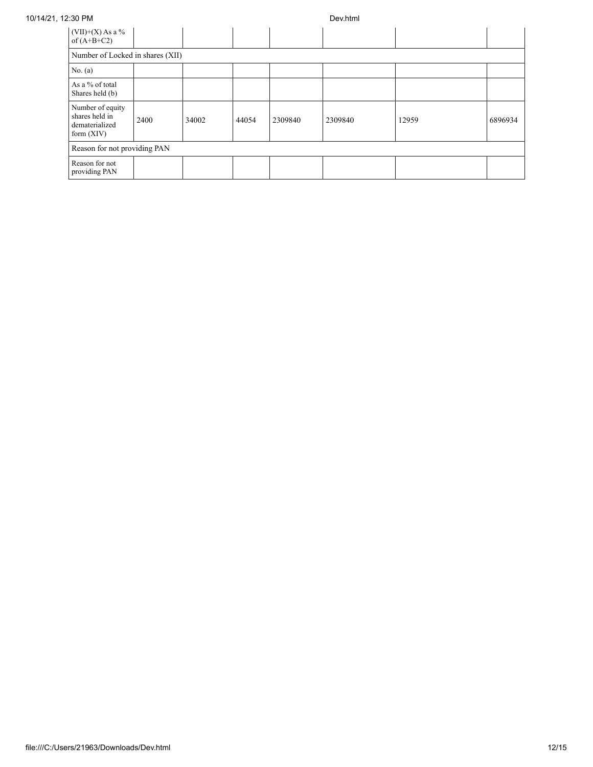## 10/14/21, 12:30 PM Dev.html

| $(VII)+(X)$ As a %<br>of $(A+B+C2)$                                  |      |       |       |         |         |       |         |  |  |
|----------------------------------------------------------------------|------|-------|-------|---------|---------|-------|---------|--|--|
| Number of Locked in shares (XII)                                     |      |       |       |         |         |       |         |  |  |
| No. (a)                                                              |      |       |       |         |         |       |         |  |  |
| As a % of total<br>Shares held (b)                                   |      |       |       |         |         |       |         |  |  |
| Number of equity<br>shares held in<br>dematerialized<br>form $(XIV)$ | 2400 | 34002 | 44054 | 2309840 | 2309840 | 12959 | 6896934 |  |  |
| Reason for not providing PAN                                         |      |       |       |         |         |       |         |  |  |
| Reason for not<br>providing PAN                                      |      |       |       |         |         |       |         |  |  |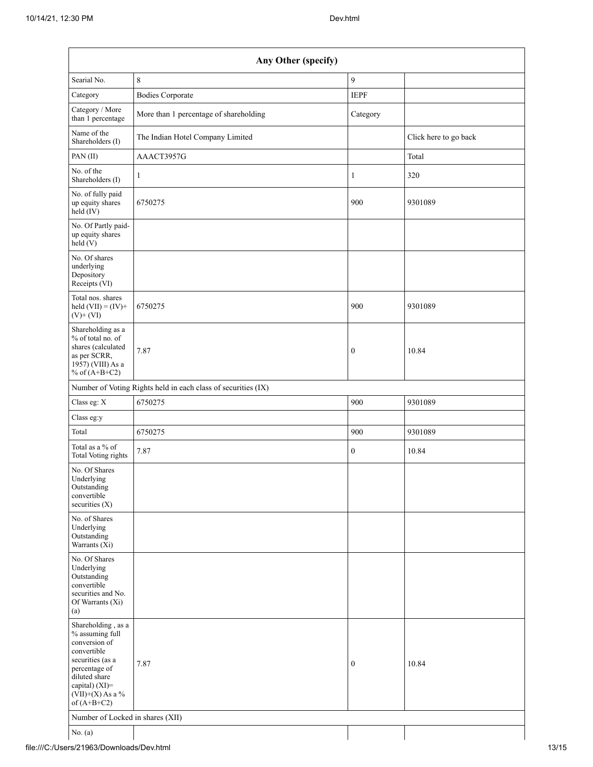| Any Other (specify)                                                                                                                                                                  |                                                               |                  |                       |  |  |  |  |
|--------------------------------------------------------------------------------------------------------------------------------------------------------------------------------------|---------------------------------------------------------------|------------------|-----------------------|--|--|--|--|
| Searial No.                                                                                                                                                                          | 8                                                             | 9                |                       |  |  |  |  |
| Category                                                                                                                                                                             | <b>Bodies Corporate</b>                                       | <b>IEPF</b>      |                       |  |  |  |  |
| Category / More<br>than 1 percentage                                                                                                                                                 | More than 1 percentage of shareholding                        | Category         |                       |  |  |  |  |
| Name of the<br>Shareholders (I)                                                                                                                                                      | The Indian Hotel Company Limited                              |                  | Click here to go back |  |  |  |  |
| PAN(II)                                                                                                                                                                              | AAACT3957G                                                    |                  | Total                 |  |  |  |  |
| No. of the<br>Shareholders (I)                                                                                                                                                       | 1                                                             | 1                | 320                   |  |  |  |  |
| No. of fully paid<br>up equity shares<br>held (IV)                                                                                                                                   | 6750275                                                       | 900              | 9301089               |  |  |  |  |
| No. Of Partly paid-<br>up equity shares<br>held (V)                                                                                                                                  |                                                               |                  |                       |  |  |  |  |
| No. Of shares<br>underlying<br>Depository<br>Receipts (VI)                                                                                                                           |                                                               |                  |                       |  |  |  |  |
| Total nos. shares<br>held $(VII) = (IV) +$<br>$(V)$ + $(VI)$                                                                                                                         | 6750275                                                       | 900              | 9301089               |  |  |  |  |
| Shareholding as a<br>% of total no. of<br>shares (calculated<br>as per SCRR,<br>1957) (VIII) As a<br>% of $(A+B+C2)$                                                                 | 7.87                                                          | $\mathbf{0}$     | 10.84                 |  |  |  |  |
|                                                                                                                                                                                      | Number of Voting Rights held in each class of securities (IX) |                  |                       |  |  |  |  |
| Class eg: X                                                                                                                                                                          | 6750275                                                       | 900              | 9301089               |  |  |  |  |
| Class eg:y                                                                                                                                                                           |                                                               |                  |                       |  |  |  |  |
| Total                                                                                                                                                                                | 6750275                                                       | 900              | 9301089               |  |  |  |  |
| Total as a % of<br><b>Total Voting rights</b>                                                                                                                                        | 7.87                                                          | $\boldsymbol{0}$ | 10.84                 |  |  |  |  |
| No. Of Shares<br>Underlying<br>Outstanding<br>convertible<br>securities $(X)$                                                                                                        |                                                               |                  |                       |  |  |  |  |
| No. of Shares<br>Underlying<br>Outstanding<br>Warrants (Xi)                                                                                                                          |                                                               |                  |                       |  |  |  |  |
| No. Of Shares<br>Underlying<br>Outstanding<br>convertible<br>securities and No.<br>Of Warrants (Xi)<br>(a)                                                                           |                                                               |                  |                       |  |  |  |  |
| Shareholding, as a<br>% assuming full<br>conversion of<br>convertible<br>securities (as a<br>percentage of<br>diluted share<br>capital) (XI)=<br>$(VII)+(X)$ As a %<br>of $(A+B+C2)$ | 7.87                                                          | $\mathbf{0}$     | 10.84                 |  |  |  |  |
| Number of Locked in shares (XII)                                                                                                                                                     |                                                               |                  |                       |  |  |  |  |
| No. (a)                                                                                                                                                                              |                                                               |                  |                       |  |  |  |  |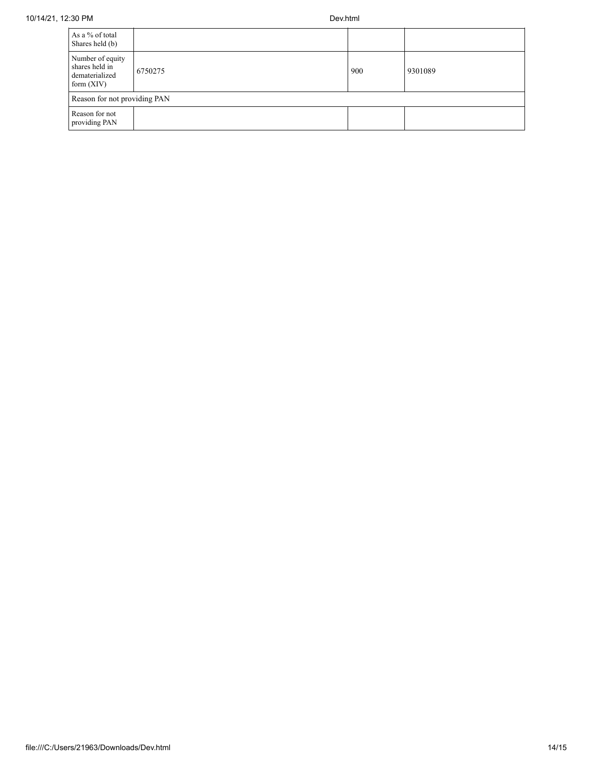| As a % of total<br>Shares held (b)                                   |         |     |         |  |  |  |
|----------------------------------------------------------------------|---------|-----|---------|--|--|--|
| Number of equity<br>shares held in<br>dematerialized<br>form $(XIV)$ | 6750275 | 900 | 9301089 |  |  |  |
| Reason for not providing PAN                                         |         |     |         |  |  |  |
| Reason for not<br>providing PAN                                      |         |     |         |  |  |  |